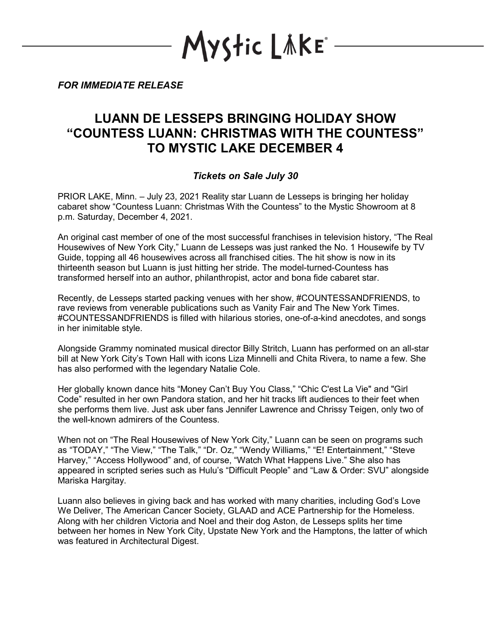**\yStic LǎKE**\*

*FOR IMMEDIATE RELEASE*

## **LUANN DE LESSEPS BRINGING HOLIDAY SHOW "COUNTESS LUANN: CHRISTMAS WITH THE COUNTESS" TO MYSTIC LAKE DECEMBER 4**

## *Tickets on Sale July 30*

PRIOR LAKE, Minn. – July 23, 2021 Reality star Luann de Lesseps is bringing her holiday cabaret show "Countess Luann: Christmas With the Countess" to the Mystic Showroom at 8 p.m. Saturday, December 4, 2021.

An original cast member of one of the most successful franchises in television history, "The Real Housewives of New York City," Luann de Lesseps was just ranked the No. 1 Housewife by TV Guide, topping all 46 housewives across all franchised cities. The hit show is now in its thirteenth season but Luann is just hitting her stride. The model-turned-Countess has transformed herself into an author, philanthropist, actor and bona fide cabaret star.

Recently, de Lesseps started packing venues with her show, #COUNTESSANDFRIENDS, to rave reviews from venerable publications such as Vanity Fair and The New York Times. #COUNTESSANDFRIENDS is filled with hilarious stories, one-of-a-kind anecdotes, and songs in her inimitable style.

Alongside Grammy nominated musical director Billy Stritch, Luann has performed on an all-star bill at New York City's Town Hall with icons Liza Minnelli and Chita Rivera, to name a few. She has also performed with the legendary Natalie Cole.

Her globally known dance hits "Money Can't Buy You Class," "Chic C'est La Vie" and "Girl Code" resulted in her own Pandora station, and her hit tracks lift audiences to their feet when she performs them live. Just ask uber fans Jennifer Lawrence and Chrissy Teigen, only two of the well-known admirers of the Countess.

When not on "The Real Housewives of New York City," Luann can be seen on programs such as "TODAY," "The View," "The Talk," "Dr. Oz," "Wendy Williams," "E! Entertainment," "Steve Harvey," "Access Hollywood" and, of course, "Watch What Happens Live." She also has appeared in scripted series such as Hulu's "Difficult People" and "Law & Order: SVU" alongside Mariska Hargitay.

Luann also believes in giving back and has worked with many charities, including God's Love We Deliver, The American Cancer Society, GLAAD and ACE Partnership for the Homeless. Along with her children Victoria and Noel and their dog Aston, de Lesseps splits her time between her homes in New York City, Upstate New York and the Hamptons, the latter of which was featured in Architectural Digest.